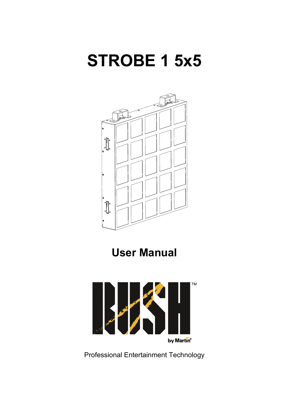# **STROBE 1 5x5**



**User Manual** 



Professional Entertainment Technology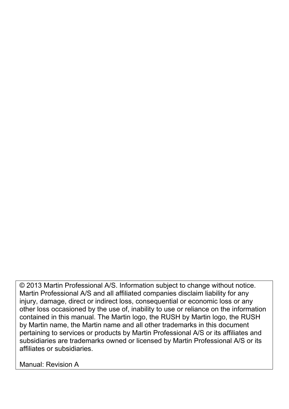© 2013 Martin Professional A/S. Information subject to change without notice. Martin Professional A/S and all affiliated companies disclaim liability for any injury, damage, direct or indirect loss, consequential or economic loss or any other loss occasioned by the use of, inability to use or reliance on the information contained in this manual. The Martin logo, the RUSH by Martin logo, the RUSH by Martin name, the Martin name and all other trademarks in this document pertaining to services or products by Martin Professional A/S or its affiliates and subsidiaries are trademarks owned or licensed by Martin Professional A/S or its affiliates or subsidiaries.

Manual: Revision A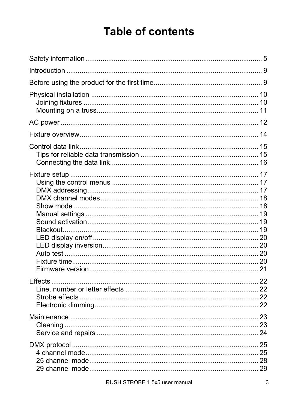# **Table of contents**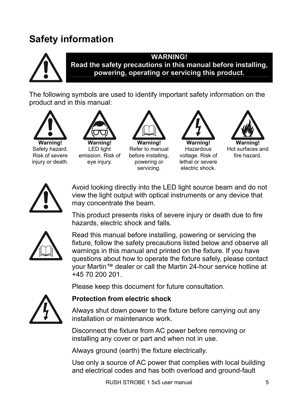### **Safety information**



#### **WARNING!**

**Read the safety precautions in this manual before installing, powering, operating or servicing this product.**

The following symbols are used to identify important safety information on the product and in this manual:



Risk of severe iniury or death.



LED light emission. Risk of eye injury.







Hot surfaces and fire hazard.



Avoid looking directly into the LED light source beam and do not view the light output with optical instruments or any device that may concentrate the beam.

This product presents risks of severe injury or death due to fire hazards, electric shock and falls.



Read this manual before installing, powering or servicing the fixture, follow the safety precautions listed below and observe all warnings in this manual and printed on the fixture. If you have questions about how to operate the fixture safely, please contact your Martin™ dealer or call the Martin 24-hour service hotline at +45 70 200 201.

Please keep this document for future consultation.



### **Protection from electric shock**

Always shut down power to the fixture before carrying out any installation or maintenance work.

Disconnect the fixture from AC power before removing or installing any cover or part and when not in use.

Always ground (earth) the fixture electrically.

Use only a source of AC power that complies with local building and electrical codes and has both overload and ground-fault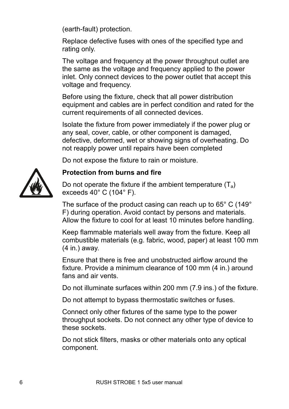(earth-fault) protection.

Replace defective fuses with ones of the specified type and rating only.

The voltage and frequency at the power throughput outlet are the same as the voltage and frequency applied to the power inlet. Only connect devices to the power outlet that accept this voltage and frequency.

Before using the fixture, check that all power distribution equipment and cables are in perfect condition and rated for the current requirements of all connected devices.

Isolate the fixture from power immediately if the power plug or any seal, cover, cable, or other component is damaged, defective, deformed, wet or showing signs of overheating. Do not reapply power until repairs have been completed

Do not expose the fixture to rain or moisture.



### **Protection from burns and fire**

Do not operate the fixture if the ambient temperature  $(T_a)$ exceeds 40° C (104° F).

The surface of the product casing can reach up to 65° C (149° F) during operation. Avoid contact by persons and materials. Allow the fixture to cool for at least 10 minutes before handling.

Keep flammable materials well away from the fixture. Keep all combustible materials (e.g. fabric, wood, paper) at least 100 mm (4 in.) away.

Ensure that there is free and unobstructed airflow around the fixture. Provide a minimum clearance of 100 mm (4 in.) around fans and air vents.

Do not illuminate surfaces within 200 mm (7.9 ins.) of the fixture.

Do not attempt to bypass thermostatic switches or fuses.

Connect only other fixtures of the same type to the power throughput sockets. Do not connect any other type of device to these sockets.

Do not stick filters, masks or other materials onto any optical component.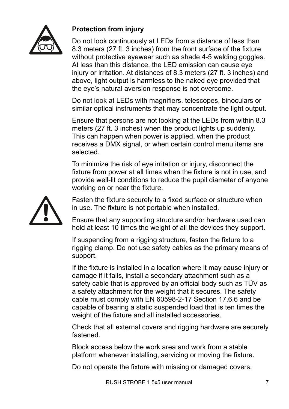

### **Protection from injury**

Do not look continuously at LEDs from a distance of less than 8.3 meters (27 ft. 3 inches) from the front surface of the fixture without protective eyewear such as shade 4-5 welding goggles. At less than this distance, the LED emission can cause eye injury or irritation. At distances of 8.3 meters (27 ft. 3 inches) and above, light output is harmless to the naked eye provided that the eye's natural aversion response is not overcome.

Do not look at LEDs with magnifiers, telescopes, binoculars or similar optical instruments that may concentrate the light output.

Ensure that persons are not looking at the LEDs from within 8.3 meters (27 ft. 3 inches) when the product lights up suddenly. This can happen when power is applied, when the product receives a DMX signal, or when certain control menu items are selected.

To minimize the risk of eye irritation or injury, disconnect the fixture from power at all times when the fixture is not in use, and provide well-lit conditions to reduce the pupil diameter of anyone working on or near the fixture.



Fasten the fixture securely to a fixed surface or structure when in use. The fixture is not portable when installed.

Ensure that any supporting structure and/or hardware used can hold at least 10 times the weight of all the devices they support.

If suspending from a rigging structure, fasten the fixture to a rigging clamp. Do not use safety cables as the primary means of support.

If the fixture is installed in a location where it may cause injury or damage if it falls, install a secondary attachment such as a safety cable that is approved by an official body such as TÜV as a safety attachment for the weight that it secures. The safety cable must comply with EN 60598-2-17 Section 17.6.6 and be capable of bearing a static suspended load that is ten times the weight of the fixture and all installed accessories.

Check that all external covers and rigging hardware are securely fastened.

Block access below the work area and work from a stable platform whenever installing, servicing or moving the fixture.

Do not operate the fixture with missing or damaged covers,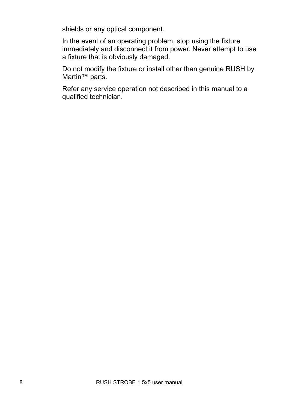shields or any optical component.

In the event of an operating problem, stop using the fixture immediately and disconnect it from power. Never attempt to use a fixture that is obviously damaged.

Do not modify the fixture or install other than genuine RUSH by Martin™ parts.

Refer any service operation not described in this manual to a qualified technician.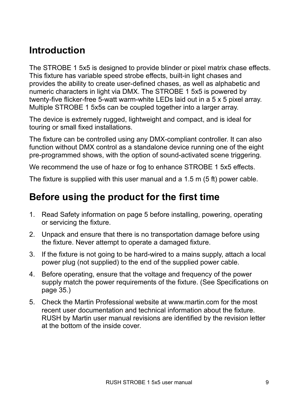### **Introduction**

The STROBE 1 5x5 is designed to provide blinder or pixel matrix chase effects. This fixture has variable speed strobe effects, built-in light chases and provides the ability to create user-defined chases, as well as alphabetic and numeric characters in light via DMX. The STROBE 1 5x5 is powered by twenty-five flicker-free 5-watt warm-white LEDs laid out in a 5 x 5 pixel array. Multiple STROBE 1 5x5s can be coupled together into a larger array.

The device is extremely rugged, lightweight and compact, and is ideal for touring or small fixed installations.

The fixture can be controlled using any DMX-compliant controller. It can also function without DMX control as a standalone device running one of the eight pre-programmed shows, with the option of sound-activated scene triggering.

We recommend the use of haze or fog to enhance STROBE 1 5x5 effects.

The fixture is supplied with this user manual and a 1.5 m (5 ft) power cable.

### **Before using the product for the first time**

- 1. Read Safety information on page 5 before installing, powering, operating or servicing the fixture.
- 2. Unpack and ensure that there is no transportation damage before using the fixture. Never attempt to operate a damaged fixture.
- 3. If the fixture is not going to be hard-wired to a mains supply, attach a local power plug (not supplied) to the end of the supplied power cable.
- 4. Before operating, ensure that the voltage and frequency of the power supply match the power requirements of the fixture. (See Specifications on page 35.)
- 5. Check the Martin Professional website at www.martin.com for the most recent user documentation and technical information about the fixture. RUSH by Martin user manual revisions are identified by the revision letter at the bottom of the inside cover.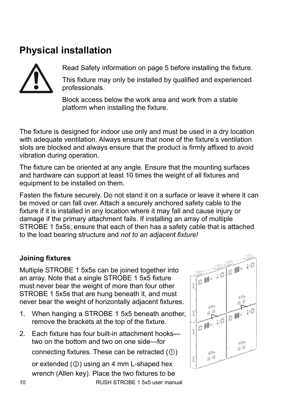### **Physical installation**



Read Safety information on page 5 before installing the fixture.

This fixture may only be installed by qualified and experienced professionals.

Block access below the work area and work from a stable platform when installing the fixture.

The fixture is designed for indoor use only and must be used in a dry location with adequate ventilation. Always ensure that none of the fixture's ventilation slots are blocked and always ensure that the product is firmly affixed to avoid vibration during operation.

The fixture can be oriented at any angle. Ensure that the mounting surfaces and hardware can support at least 10 times the weight of all fixtures and equipment to be installed on them.

Fasten the fixture securely. Do not stand it on a surface or leave it where it can be moved or can fall over. Attach a securely anchored safety cable to the fixture if it is installed in any location where it may fall and cause injury or damage if the primary attachment fails. If installing an array of multiple STROBE 1 5x5s, ensure that each of then has a safety cable that is attached to the load bearing structure and *not to an adjacent fixture!*

### **Joining fixtures**

Multiple STROBE 1 5x5s can be joined together into an array. Note that a single STROBE 1 5x5 fixture must never bear the weight of more than four other STROBE 1 5x5s that are hung beneath it, and must never bear the weight of horizontally adjacent fixtures.

- 1. When hanging a STROBE 1 5x5 beneath another, remove the brackets at the top of the fixture.
- 2. Each fixture has four built-in attachment hooks two on the bottom and two on one side—for connecting fixtures. These can be retracted (①) or extended (②) using an 4 mm L-shaped hex wrench (Allen key). Place the two fixtures to be

10 RUSH STROBE 1 5x5 user manual

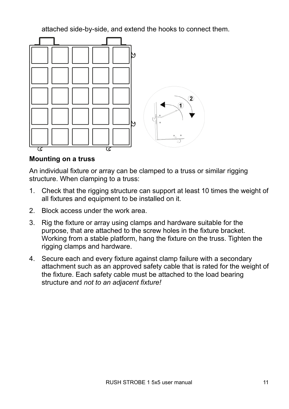attached side-by-side, and extend the hooks to connect them.



#### **Mounting on a truss**

An individual fixture or array can be clamped to a truss or similar rigging structure. When clamping to a truss:

- 1. Check that the rigging structure can support at least 10 times the weight of all fixtures and equipment to be installed on it.
- 2. Block access under the work area.
- 3. Rig the fixture or array using clamps and hardware suitable for the purpose, that are attached to the screw holes in the fixture bracket. Working from a stable platform, hang the fixture on the truss. Tighten the rigging clamps and hardware.
- 4. Secure each and every fixture against clamp failure with a secondary attachment such as an approved safety cable that is rated for the weight of the fixture. Each safety cable must be attached to the load bearing structure and *not to an adjacent fixture!*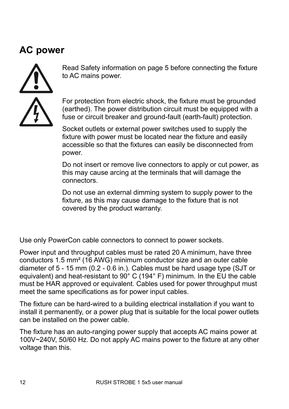### **AC power**



Read Safety information on page 5 before connecting the fixture to AC mains power.

For protection from electric shock, the fixture must be grounded (earthed). The power distribution circuit must be equipped with a fuse or circuit breaker and ground-fault (earth-fault) protection.

Socket outlets or external power switches used to supply the fixture with power must be located near the fixture and easily accessible so that the fixtures can easily be disconnected from power.

Do not insert or remove live connectors to apply or cut power, as this may cause arcing at the terminals that will damage the connectors.

Do not use an external dimming system to supply power to the fixture, as this may cause damage to the fixture that is not covered by the product warranty.

Use only PowerCon cable connectors to connect to power sockets.

Power input and throughput cables must be rated 20 A minimum, have three conductors 1.5 mm² (16 AWG) minimum conductor size and an outer cable diameter of 5 - 15 mm (0.2 - 0.6 in.). Cables must be hard usage type (SJT or equivalent) and heat-resistant to 90° C (194° F) minimum. In the EU the cable must be HAR approved or equivalent. Cables used for power throughput must meet the same specifications as for power input cables.

The fixture can be hard-wired to a building electrical installation if you want to install it permanently, or a power plug that is suitable for the local power outlets can be installed on the power cable.

The fixture has an auto-ranging power supply that accepts AC mains power at 100V~240V, 50/60 Hz. Do not apply AC mains power to the fixture at any other voltage than this.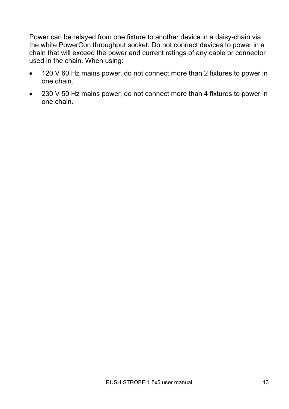Power can be relayed from one fixture to another device in a daisy-chain via the white PowerCon throughput socket. Do not connect devices to power in a chain that will exceed the power and current ratings of any cable or connector used in the chain. When using:

- 120 V 60 Hz mains power, do not connect more than 2 fixtures to power in one chain.
- 230 V 50 Hz mains power, do not connect more than 4 fixtures to power in one chain.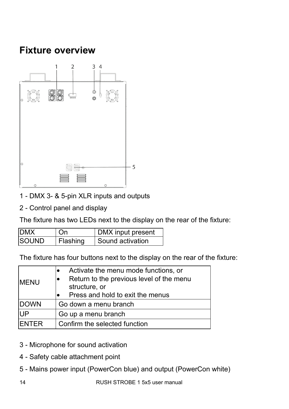### **Fixture overview**



- 1 DMX 3- & 5-pin XLR inputs and outputs
- 2 Control panel and display

The fixture has two LEDs next to the display on the rear of the fixture:

| <b>IDMX</b>   | l On     | DMX input present  |
|---------------|----------|--------------------|
| <b>ISOUND</b> | Flashing | I Sound activation |

The fixture has four buttons next to the display on the rear of the fixture:

| <b>IMENU</b>  | Activate the menu mode functions, or<br>Return to the previous level of the menu<br>structure, or<br>Press and hold to exit the menus |  |
|---------------|---------------------------------------------------------------------------------------------------------------------------------------|--|
| <b>DOWN</b>   | Go down a menu branch                                                                                                                 |  |
| UP            | Go up a menu branch                                                                                                                   |  |
| <b>IFNTFR</b> | Confirm the selected function                                                                                                         |  |

- 3 Microphone for sound activation
- 4 Safety cable attachment point
- 5 Mains power input (PowerCon blue) and output (PowerCon white)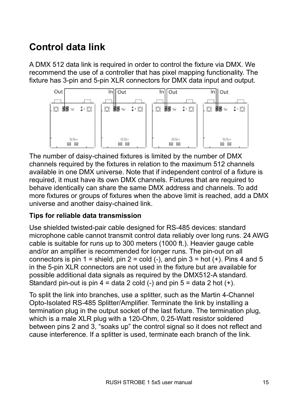### **Control data link**

A DMX 512 data link is required in order to control the fixture via DMX. We recommend the use of a controller that has pixel mapping functionality. The fixture has 3-pin and 5-pin XLR connectors for DMX data input and output.



The number of daisy-chained fixtures is limited by the number of DMX channels required by the fixtures in relation to the maximum 512 channels available in one DMX universe. Note that if independent control of a fixture is required, it must have its own DMX channels. Fixtures that are required to behave identically can share the same DMX address and channels. To add more fixtures or groups of fixtures when the above limit is reached, add a DMX universe and another daisy-chained link.

### **Tips for reliable data transmission**

Use shielded twisted-pair cable designed for RS-485 devices: standard microphone cable cannot transmit control data reliably over long runs. 24 AWG cable is suitable for runs up to 300 meters (1000 ft.). Heavier gauge cable and/or an amplifier is recommended for longer runs. The pin-out on all connectors is pin  $1 =$  shield, pin  $2 =$  cold  $(-)$ , and pin  $3 =$  hot  $(+)$ . Pins 4 and 5 in the 5-pin XLR connectors are not used in the fixture but are available for possible additional data signals as required by the DMX512-A standard. Standard pin-out is pin  $4 =$  data 2 cold  $(-)$  and pin  $5 =$  data 2 hot  $(+)$ .

To split the link into branches, use a splitter, such as the Martin 4-Channel Opto-Isolated RS-485 Splitter/Amplifier. Terminate the link by installing a termination plug in the output socket of the last fixture. The termination plug, which is a male XLR plug with a 120-Ohm, 0.25-Watt resistor soldered between pins 2 and 3, "soaks up" the control signal so it does not reflect and cause interference. If a splitter is used, terminate each branch of the link.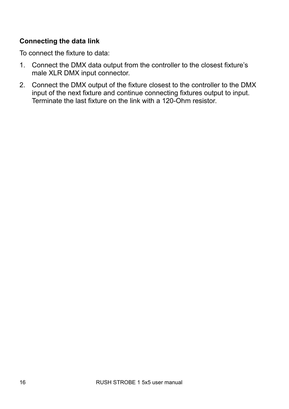### **Connecting the data link**

To connect the fixture to data:

- 1. Connect the DMX data output from the controller to the closest fixture's male XLR DMX input connector.
- 2. Connect the DMX output of the fixture closest to the controller to the DMX input of the next fixture and continue connecting fixtures output to input. Terminate the last fixture on the link with a 120-Ohm resistor.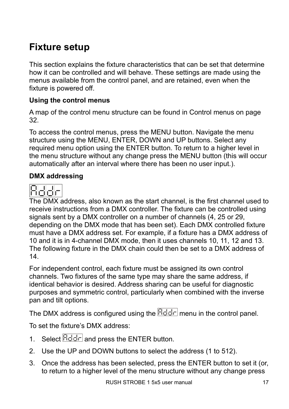### **Fixture setup**

This section explains the fixture characteristics that can be set that determine how it can be controlled and will behave. These settings are made using the menus available from the control panel, and are retained, even when the fixture is powered off.

### **Using the control menus**

A map of the control menu structure can be found in Control menus on page 32.

To access the control menus, press the MENU button. Navigate the menu structure using the MENU, ENTER, DOWN and UP buttons. Select any required menu option using the ENTER button. To return to a higher level in the menu structure without any change press the MENU button (this will occur automatically after an interval where there has been no user input.).

### **DMX addressing**



The DMX address, also known as the start channel, is the first channel used to receive instructions from a DMX controller. The fixture can be controlled using signals sent by a DMX controller on a number of channels (4, 25 or 29, depending on the DMX mode that has been set). Each DMX controlled fixture must have a DMX address set. For example, if a fixture has a DMX address of 10 and it is in 4-channel DMX mode, then it uses channels 10, 11, 12 and 13. The following fixture in the DMX chain could then be set to a DMX address of 14.

For independent control, each fixture must be assigned its own control channels. Two fixtures of the same type may share the same address, if identical behavior is desired. Address sharing can be useful for diagnostic purposes and symmetric control, particularly when combined with the inverse pan and tilt options.

The DMX address is configured using the  $Bd$ d $\overline{d}$  menu in the control panel.

To set the fixture's DMX address:

- 1. Select  $\overline{Hd\overline{d}}$  and press the ENTER button.
- 2. Use the UP and DOWN buttons to select the address (1 to 512).
- 3. Once the address has been selected, press the ENTER button to set it (or, to return to a higher level of the menu structure without any change press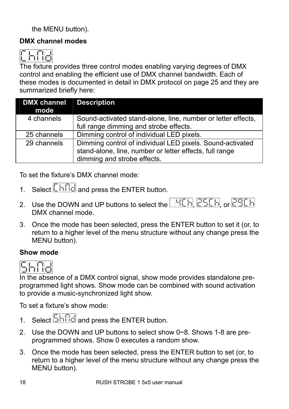the MENU button).

### **DMX channel modes**



The fixture provides three control modes enabling varying degrees of DMX control and enabling the efficient use of DMX channel bandwidth. Each of these modes is documented in detail in DMX protocol on page 25 and they are summarized briefly here:

| DMX channel | <b>Description</b>                                           |
|-------------|--------------------------------------------------------------|
| mode        |                                                              |
| 4 channels  | Sound-activated stand-alone, line, number or letter effects, |
|             | full range dimming and strobe effects.                       |
| 25 channels | Dimming control of individual LED pixels.                    |
| 29 channels | Dimming control of individual LED pixels. Sound-activated    |
|             | stand-alone, line, number or letter effects, full range      |
|             | dimming and strobe effects.                                  |

To set the fixture's DMX channel mode:

- 1. Select  $\boxed{\begin{bmatrix} \begin{bmatrix} \begin{bmatrix} \begin{bmatrix} \begin{bmatrix} \begin{bmatrix} \begin{bmatrix} \begin{bmatrix} \begin{bmatrix} \begin{bmatrix} \begin{bmatrix} \begin{bmatrix} \begin{bmatrix} \begin{bmatrix} \begin{bmatrix} \begin{bmatrix} \begin{bmatrix} \begin{bmatrix} \begin{bmatrix} \begin{bmatrix} \end{bmatrix} \end{bmatrix} \end{bmatrix} \end{bmatrix} \end{bmatrix} \end{bmatrix} \end{bmatrix}}end{bmatrix}}end{bmatrix}}$
- 2. Use the DOWN and UP buttons to select the **HEH, CHEH, or CHEH** DMX channel mode.
- 3. Once the mode has been selected, press the ENTER button to set it (or, to return to a higher level of the menu structure without any change press the MENU button).

### **Show mode**



In the absence of a DMX control signal, show mode provides standalone preprogrammed light shows. Show mode can be combined with sound activation to provide a music-synchronized light show.

To set a fixture's show mode:

- 1. Select  $\boxed{\frac{\square \square \square \square}{\square}}$  and press the ENTER button.
- 2. Use the DOWN and UP buttons to select show 0~8. Shows 1-8 are preprogrammed shows. Show 0 executes a random show.
- 3. Once the mode has been selected, press the ENTER button to set (or, to return to a higher level of the menu structure without any change press the MENU button).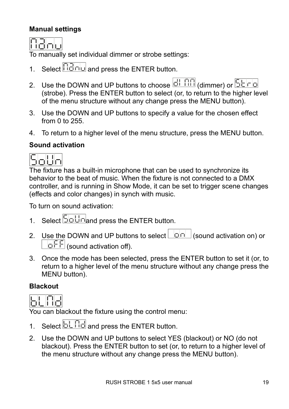### **Manual settings**

**Ranu** 

To manually set individual dimmer or strobe settings:

- 1. Select  $\boxed{\Box \Box \Box}$  and press the ENTER button.
- 2. Use the DOWN and UP buttons to choose **dimmer**) or **SEF** (strobe). Press the ENTER button to select (or, to return to the higher level of the menu structure without any change press the MENU button).
- 3. Use the DOWN and UP buttons to specify a value for the chosen effect from 0 to 255.
- 4. To return to a higher level of the menu structure, press the MENU button.

### **Sound activation**



The fixture has a built-in microphone that can be used to synchronize its behavior to the beat of music. When the fixture is not connected to a DMX controller, and is running in Show Mode, it can be set to trigger scene changes (effects and color changes) in synch with music.

To turn on sound activation:

- 1. Select <u>5oUnand press</u> the ENTER button.
- 2. Use the DOWN and UP buttons to select  $\Box$   $\Box$  (sound activation on) or  $\overline{OFE}$  (sound activation off).
- 3. Once the mode has been selected, press the ENTER button to set it (or, to return to a higher level of the menu structure without any change press the MENU button).

### **Blackout**



You can blackout the fixture using the control menu:

- 1. Select  $\boxed{5 \square \square}$  and press the ENTER button.
- 2. Use the DOWN and UP buttons to select YES (blackout) or NO (do not blackout). Press the ENTER button to set (or, to return to a higher level of the menu structure without any change press the MENU button).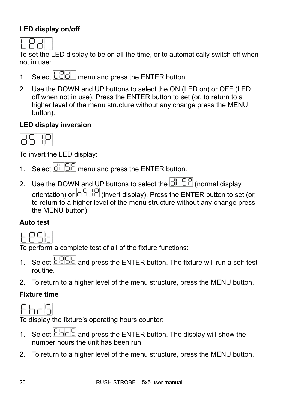### **LED display on/off**



To set the LED display to be on all the time, or to automatically switch off when not in use:

- 1. Select  $\mathbb{L} \overline{\mathbb{C} \mathbb{d}}$  menu and press the ENTER button.
- 2. Use the DOWN and UP buttons to select the ON (LED on) or OFF (LED off when not in use). Press the ENTER button to set (or, to return to a higher level of the menu structure without any change press the MENU button).

### **LED display inversion**



To invert the LED display:

- 1. Select  $\frac{d}{dE}$   $\frac{d}{dE}$  menu and press the ENTER button.
- 2. Use the DOWN and UP buttons to select the  $\frac{1}{\Box \Box \Box}$  (normal display orientation) or  $\overline{dS}$  IP (invert display). Press the ENTER button to set (or, to return to a higher level of the menu structure without any change press the MENU button).

### **Auto test**



To perform a complete test of all of the fixture functions:

- 1. Select  $\boxed{\text{PSE}}$  and press the ENTER button. The fixture will run a self-test routine.
- 2. To return to a higher level of the menu structure, press the MENU button.

### **Fixture time**



To display the fixture's operating hours counter:

- 1. Select  $\boxed{\Box \Box \Box}$  and press the ENTER button. The display will show the number hours the unit has been run.
- 2. To return to a higher level of the menu structure, press the MENU button.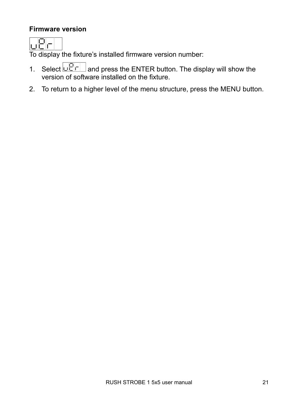### **Firmware version**

To display the fixture's installed firmware version number:

- 1. Select  $\Box$  and press the ENTER button. The display will show the version of software installed on the fixture.
- 2. To return to a higher level of the menu structure, press the MENU button.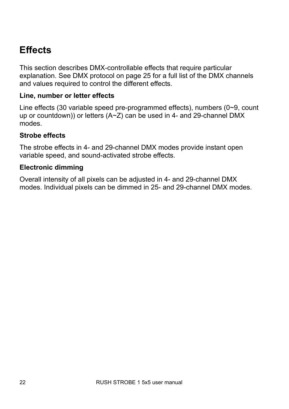### **Effects**

This section describes DMX-controllable effects that require particular explanation. See DMX protocol on page 25 for a full list of the DMX channels and values required to control the different effects.

#### **Line, number or letter effects**

Line effects (30 variable speed pre-programmed effects), numbers (0~9, count up or countdown)) or letters (A~Z) can be used in 4- and 29-channel DMX modes.

#### **Strobe effects**

The strobe effects in 4- and 29-channel DMX modes provide instant open variable speed, and sound-activated strobe effects.

### **Electronic dimming**

Overall intensity of all pixels can be adjusted in 4- and 29-channel DMX modes. Individual pixels can be dimmed in 25- and 29-channel DMX modes.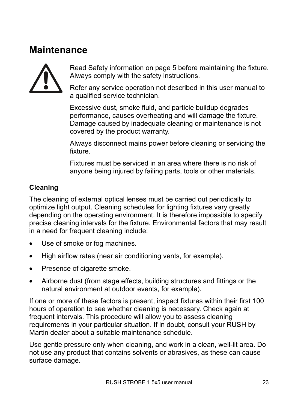### **Maintenance**



Read Safety information on page 5 before maintaining the fixture. Always comply with the safety instructions.

Refer any service operation not described in this user manual to a qualified service technician.

Excessive dust, smoke fluid, and particle buildup degrades performance, causes overheating and will damage the fixture. Damage caused by inadequate cleaning or maintenance is not covered by the product warranty.

Always disconnect mains power before cleaning or servicing the fixture.

Fixtures must be serviced in an area where there is no risk of anyone being injured by failing parts, tools or other materials.

### **Cleaning**

The cleaning of external optical lenses must be carried out periodically to optimize light output. Cleaning schedules for lighting fixtures vary greatly depending on the operating environment. It is therefore impossible to specify precise cleaning intervals for the fixture. Environmental factors that may result in a need for frequent cleaning include:

- Use of smoke or fog machines.
- High airflow rates (near air conditioning vents, for example).
- Presence of cigarette smoke.
- Airborne dust (from stage effects, building structures and fittings or the natural environment at outdoor events, for example).

If one or more of these factors is present, inspect fixtures within their first 100 hours of operation to see whether cleaning is necessary. Check again at frequent intervals. This procedure will allow you to assess cleaning requirements in your particular situation. If in doubt, consult your RUSH by Martin dealer about a suitable maintenance schedule.

Use gentle pressure only when cleaning, and work in a clean, well-lit area. Do not use any product that contains solvents or abrasives, as these can cause surface damage.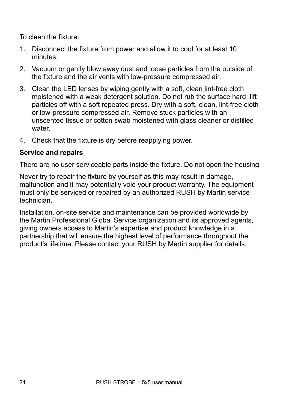To clean the fixture:

- 1. Disconnect the fixture from power and allow it to cool for at least 10 minutes.
- 2. Vacuum or gently blow away dust and loose particles from the outside of the fixture and the air vents with low-pressure compressed air.
- 3. Clean the LED lenses by wiping gently with a soft, clean lint-free cloth moistened with a weak detergent solution. Do not rub the surface hard: lift particles off with a soft repeated press. Dry with a soft, clean, lint-free cloth or low-pressure compressed air. Remove stuck particles with an unscented tissue or cotton swab moistened with glass cleaner or distilled water.
- 4. Check that the fixture is dry before reapplying power.

### **Service and repairs**

There are no user serviceable parts inside the fixture. Do not open the housing.

Never try to repair the fixture by yourself as this may result in damage, malfunction and it may potentially void your product warranty. The equipment must only be serviced or repaired by an authorized RUSH by Martin service technician.

Installation, on-site service and maintenance can be provided worldwide by the Martin Professional Global Service organization and its approved agents, giving owners access to Martin's expertise and product knowledge in a partnership that will ensure the highest level of performance throughout the product's lifetime. Please contact your RUSH by Martin supplier for details.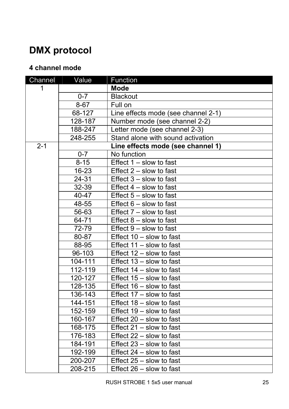## **DMX protocol**

### **4 channel mode**

| Channel | Value     | Function                            |
|---------|-----------|-------------------------------------|
| 1       |           | <b>Mode</b>                         |
|         | $0 - 7$   | <b>Blackout</b>                     |
|         | $8 - 67$  | Full on                             |
|         | 68-127    | Line effects mode (see channel 2-1) |
|         | 128-187   | Number mode (see channel 2-2)       |
|         | 188-247   | Letter mode (see channel 2-3)       |
|         | 248-255   | Stand alone with sound activation   |
| $2 - 1$ |           | Line effects mode (see channel 1)   |
|         | $0 - 7$   | No function                         |
|         | $8 - 15$  | Effect $1 -$ slow to fast           |
|         | $16 - 23$ | Effect $2 -$ slow to fast           |
|         | 24-31     | Effect $3 -$ slow to fast           |
|         | $32 - 39$ | Effect $4 -$ slow to fast           |
|         | 40-47     | Effect $5 -$ slow to fast           |
|         | 48-55     | Effect $6 -$ slow to fast           |
|         | 56-63     | Effect $7 -$ slow to fast           |
|         | 64-71     | Effect $8 -$ slow to fast           |
|         | 72-79     | Effect $9 -$ slow to fast           |
|         | $80 - 87$ | Effect $10 -$ slow to fast          |
|         | 88-95     | Effect $11 -$ slow to fast          |
|         | 96-103    | Effect $12 -$ slow to fast          |
|         | 104-111   | Effect $13 -$ slow to fast          |
|         | 112-119   | Effect $14$ – slow to fast          |
|         | 120-127   | Effect 15 - slow to fast            |
|         | 128-135   | Effect $16 -$ slow to fast          |
|         | 136-143   | Effect $17 -$ slow to fast          |
|         | 144-151   | Effect 18 - slow to fast            |
|         | 152-159   | Effect 19 - slow to fast            |
|         | 160-167   | Effect $20 -$ slow to fast          |
|         | 168-175   | Effect $21 -$ slow to fast          |
|         | 176-183   | Effect 22 - slow to fast            |
|         | 184-191   | Effect $23 -$ slow to fast          |
|         | 192-199   | Effect $24 -$ slow to fast          |
|         | 200-207   | Effect $25 -$ slow to fast          |
|         | 208-215   | Effect 26 - slow to fast            |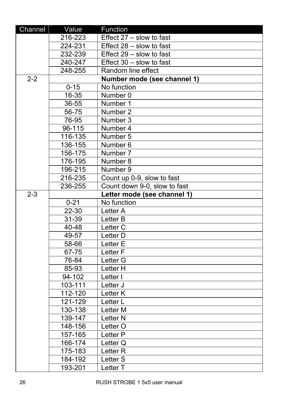| Channel          | Value                       | Function                     |
|------------------|-----------------------------|------------------------------|
|                  | 216-223                     | Effect 27 - slow to fast     |
|                  | 224-231                     | Effect $28 -$ slow to fast   |
|                  | 232-239                     | Effect $29 -$ slow to fast   |
|                  | 240-247                     | Effect 30 - slow to fast     |
|                  | 248-255                     | Random line effect           |
| $\overline{2-2}$ |                             | Number mode (see channel 1)  |
|                  | $0 - 15$                    | No function                  |
|                  | 16-35                       | Number 0                     |
|                  | 36-55                       | Number 1                     |
|                  | 56-75                       | Number 2                     |
|                  | 76-95                       | Number 3                     |
|                  | 96-115                      | Number 4                     |
|                  | 116-135                     | Number 5                     |
|                  | 136-155                     | Number 6                     |
|                  | 156-175                     | Number 7                     |
|                  | 176-195                     | Number 8                     |
|                  | 196-215                     | Number 9                     |
|                  | 216-235                     | Count up 0-9, slow to fast   |
|                  | 236-255                     | Count down 9-0, slow to fast |
| $2 - 3$          | Letter mode (see channel 1) |                              |
|                  | $0 - 21$                    | No function                  |
|                  | 22-30                       | Letter A                     |
|                  | 31-39                       | Letter B                     |
|                  | 40-48                       | Letter <sub>C</sub>          |
|                  | 49-57                       | Letter D                     |
|                  | 58-66                       | Letter E                     |
|                  | 67-75                       | Letter <sub>F</sub>          |
|                  | 76-84                       | Letter G                     |
|                  | 85-93                       | Letter H                     |
|                  | 94-102                      | Letter I                     |
|                  | 103-111                     | Letter J                     |
|                  | 112-120                     | Letter K                     |
|                  | 121-129                     | Letter L                     |
|                  | 130-138                     | Letter M                     |
|                  | 139-147                     | Letter <sub>N</sub>          |
|                  | 148-156                     | Letter O                     |
|                  | 157-165                     | Letter P                     |
|                  | 166-174                     | Letter Q                     |
|                  | 175-183                     | Letter <sub>R</sub>          |
|                  | 184-192                     | Letter S                     |
|                  | 193-201                     | Letter T                     |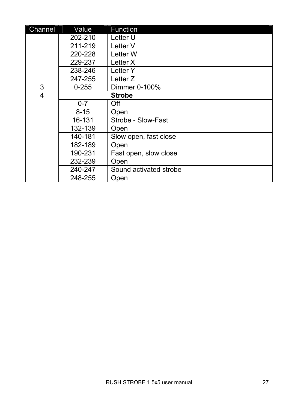| Channel | Value     | Function               |
|---------|-----------|------------------------|
|         | 202-210   | Letter U               |
|         | 211-219   | Letter V               |
|         | 220-228   | Letter W               |
|         | 229-237   | Letter X               |
|         | 238-246   | Letter Y               |
|         | 247-255   | Letter Z               |
| 3       | $0 - 255$ | Dimmer 0-100%          |
| 4       |           | <b>Strobe</b>          |
|         | $0 - 7$   | Off                    |
|         | $8 - 15$  | Open                   |
|         | 16-131    | Strobe - Slow-Fast     |
|         | 132-139   | Open                   |
|         | 140-181   | Slow open, fast close  |
|         | 182-189   | Open                   |
|         | 190-231   | Fast open, slow close  |
|         | 232-239   | Open                   |
|         | 240-247   | Sound activated strobe |
|         | 248-255   | Open                   |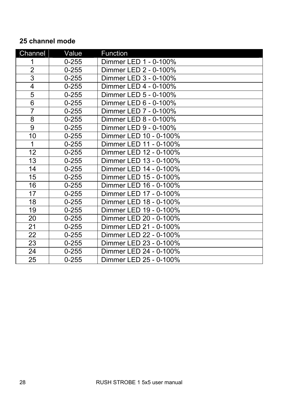### **25 channel mode**

| Channel        | Value     | Function               |
|----------------|-----------|------------------------|
| 1              | $0 - 255$ | Dimmer LED 1 - 0-100%  |
| $\overline{2}$ | $0 - 255$ | Dimmer LED 2 - 0-100%  |
| $\overline{3}$ | $0 - 255$ | Dimmer LED 3 - 0-100%  |
| $\overline{4}$ | $0 - 255$ | Dimmer LED 4 - 0-100%  |
| 5              | $0 - 255$ | Dimmer LED 5 - 0-100%  |
| 6              | $0 - 255$ | Dimmer LED 6 - 0-100%  |
| $\overline{7}$ | $0 - 255$ | Dimmer LED 7 - 0-100%  |
| 8              | $0 - 255$ | Dimmer LED 8 - 0-100%  |
| $\overline{9}$ | $0 - 255$ | Dimmer LED 9 - 0-100%  |
| 10             | $0 - 255$ | Dimmer LED 10 - 0-100% |
| 1              | $0 - 255$ | Dimmer LED 11 - 0-100% |
| 12             | $0 - 255$ | Dimmer LED 12 - 0-100% |
| 13             | $0 - 255$ | Dimmer LED 13 - 0-100% |
| 14             | $0 - 255$ | Dimmer LED 14 - 0-100% |
| 15             | $0 - 255$ | Dimmer LED 15 - 0-100% |
| 16             | $0 - 255$ | Dimmer LED 16 - 0-100% |
| 17             | $0 - 255$ | Dimmer LED 17 - 0-100% |
| 18             | $0 - 255$ | Dimmer LED 18 - 0-100% |
| 19             | $0 - 255$ | Dimmer LED 19 - 0-100% |
| 20             | $0 - 255$ | Dimmer LED 20 - 0-100% |
| 21             | $0 - 255$ | Dimmer LED 21 - 0-100% |
| 22             | $0 - 255$ | Dimmer LED 22 - 0-100% |
| 23             | $0 - 255$ | Dimmer LED 23 - 0-100% |
| 24             | $0 - 255$ | Dimmer LED 24 - 0-100% |
| 25             | $0 - 255$ | Dimmer LED 25 - 0-100% |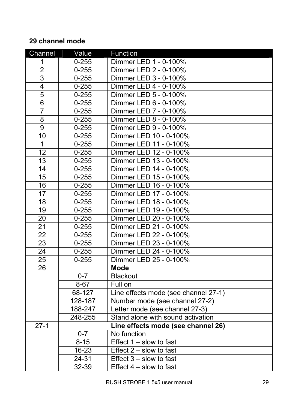### **29 channel mode**

| Channel                 | Value     | Function                             |
|-------------------------|-----------|--------------------------------------|
| 1                       | $0 - 255$ | Dimmer LED 1 - 0-100%                |
| $\overline{2}$          | $0 - 255$ | Dimmer LED 2 - 0-100%                |
| $\overline{3}$          | $0 - 255$ | Dimmer LED 3 - 0-100%                |
| $\overline{\mathbf{4}}$ | $0 - 255$ | Dimmer LED 4 - 0-100%                |
| $\overline{5}$          | $0 - 255$ | Dimmer LED 5 - 0-100%                |
| $\overline{6}$          | $0 - 255$ | Dimmer LED 6 - 0-100%                |
| $\overline{7}$          | $0 - 255$ | Dimmer LED 7 - 0-100%                |
| 8                       | $0 - 255$ | Dimmer LED 8 - 0-100%                |
| 9                       | $0 - 255$ | Dimmer LED 9 - 0-100%                |
| $\overline{10}$         | $0 - 255$ | Dimmer LED 10 - 0-100%               |
| $\mathbf{1}$            | $0 - 255$ | Dimmer LED 11 - 0-100%               |
| 12                      | $0 - 255$ | Dimmer LED 12 - 0-100%               |
| 13                      | $0 - 255$ | Dimmer LED 13 - 0-100%               |
| 14                      | $0 - 255$ | Dimmer LED 14 - 0-100%               |
| $\overline{15}$         | $0 - 255$ | Dimmer LED 15 - 0-100%               |
| 16                      | $0 - 255$ | Dimmer LED 16 - 0-100%               |
| 17                      | $0 - 255$ | Dimmer LED 17 - 0-100%               |
| 18                      | $0 - 255$ | Dimmer LED 18 - 0-100%               |
| 19                      | $0 - 255$ | Dimmer LED 19 - 0-100%               |
| 20                      | $0 - 255$ | Dimmer LED 20 - 0-100%               |
| $\overline{21}$         | $0 - 255$ | Dimmer LED 21 - 0-100%               |
| $\overline{22}$         | $0 - 255$ | Dimmer LED 22 - 0-100%               |
| $\overline{23}$         | $0 - 255$ | Dimmer LED 23 - 0-100%               |
| $\overline{24}$         | $0 - 255$ | Dimmer LED 24 - 0-100%               |
| $\overline{25}$         | $0 - 255$ | Dimmer LED 25 - 0-100%               |
| $\overline{26}$         |           | <b>Mode</b>                          |
|                         | $0 - 7$   | Blackout                             |
|                         | $8 - 67$  | Full on                              |
|                         | 68-127    | Line effects mode (see channel 27-1) |
|                         | 128-187   | Number mode (see channel 27-2)       |
|                         | 188-247   | Letter mode (see channel 27-3)       |
|                         | 248-255   | Stand alone with sound activation    |
| $27 - 1$                |           | Line effects mode (see channel 26)   |
|                         | $0 - 7$   | No function                          |
|                         | $8 - 15$  | Effect $1 -$ slow to fast            |
|                         | $16 - 23$ | Effect $2 -$ slow to fast            |
|                         | 24-31     | Effect $3 -$ slow to fast            |
|                         | 32-39     | Effect $4 -$ slow to fast            |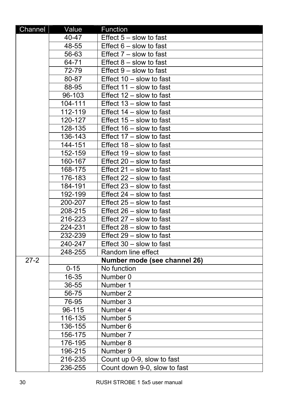| Channel  | Value    | Function                     |
|----------|----------|------------------------------|
|          | 40-47    | Effect $5 -$ slow to fast    |
|          | 48-55    | Effect $6 -$ slow to fast    |
|          | 56-63    | Effect $7 -$ slow to fast    |
|          | 64-71    | Effect $8 -$ slow to fast    |
|          | 72-79    | Effect $9 -$ slow to fast    |
|          | 80-87    | Effect 10 - slow to fast     |
|          | 88-95    | Effect $11 -$ slow to fast   |
|          | 96-103   | Effect 12 - slow to fast     |
|          | 104-111  | Effect 13 - slow to fast     |
|          | 112-119  | Effect 14 - slow to fast     |
|          | 120-127  | Effect $15 -$ slow to fast   |
|          | 128-135  | Effect 16 - slow to fast     |
|          | 136-143  | Effect 17 - slow to fast     |
|          | 144-151  | Effect 18 - slow to fast     |
|          | 152-159  | Effect 19 - slow to fast     |
|          | 160-167  | Effect 20 - slow to fast     |
|          | 168-175  | Effect 21 - slow to fast     |
|          | 176-183  | Effect 22 - slow to fast     |
|          | 184-191  | Effect 23 - slow to fast     |
|          | 192-199  | Effect 24 - slow to fast     |
|          | 200-207  | Effect 25 - slow to fast     |
|          | 208-215  | Effect 26 - slow to fast     |
|          | 216-223  | Effect 27 - slow to fast     |
|          | 224-231  | Effect 28 - slow to fast     |
|          | 232-239  | Effect 29 - slow to fast     |
|          | 240-247  | Effect 30 - slow to fast     |
|          | 248-255  | Random line effect           |
| $27 - 2$ |          | Number mode (see channel 26) |
|          | $0 - 15$ | No function                  |
|          | 16-35    | Number 0                     |
|          | 36-55    | Number 1                     |
|          | 56-75    | Number 2                     |
|          | 76-95    | Number 3                     |
|          | 96-115   | Number 4                     |
|          | 116-135  | Number 5                     |
|          | 136-155  | Number 6                     |
|          | 156-175  | Number 7                     |
|          | 176-195  | Number 8                     |
|          | 196-215  | Number 9                     |
|          | 216-235  | Count up 0-9, slow to fast   |
|          | 236-255  | Count down 9-0, slow to fast |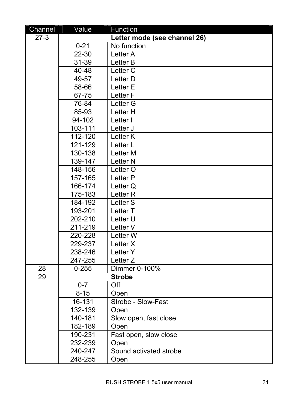| Channel | Value     | Function                     |
|---------|-----------|------------------------------|
| $27-3$  |           | Letter mode (see channel 26) |
|         | $0 - 21$  | No function                  |
|         | $22 - 30$ | Letter A                     |
|         | 31-39     | Letter B                     |
|         | 40-48     | Letter <sub>C</sub>          |
|         | 49-57     | Letter D                     |
|         | 58-66     | Letter E                     |
|         | 67-75     | Letter <sub>F</sub>          |
|         | 76-84     | Letter G                     |
|         | 85-93     | Letter H                     |
|         | 94-102    | Letter I                     |
|         | 103-111   | Letter J                     |
|         | 112-120   | Letter K                     |
|         | 121-129   | Letter L                     |
|         | 130-138   | Letter M                     |
|         | 139-147   | Letter <sub>N</sub>          |
|         | 148-156   | Letter O                     |
|         | 157-165   | Letter P                     |
|         | 166-174   | Letter Q                     |
|         | 175-183   | Letter <sub>R</sub>          |
|         | 184-192   | Letter <sub>S</sub>          |
|         | 193-201   | Letter T                     |
|         | 202-210   | Letter U                     |
|         | 211-219   | Letter V                     |
|         | 220-228   | Letter W                     |
|         | 229-237   | Letter X                     |
|         | 238-246   | Letter Y                     |
|         | 247-255   | Letter <sub>Z</sub>          |
| 28      | $0 - 255$ | Dimmer 0-100%                |
| 29      |           | <b>Strobe</b>                |
|         | $0 - 7$   | Off                          |
|         | $8 - 15$  | Open                         |
|         | 16-131    | Strobe - Slow-Fast           |
|         | 132-139   | Open                         |
|         | 140-181   | Slow open, fast close        |
|         | 182-189   | Open                         |
|         | 190-231   | Fast open, slow close        |
|         | 232-239   | Open                         |
|         | 240-247   | Sound activated strobe       |
|         | 248-255   | Open                         |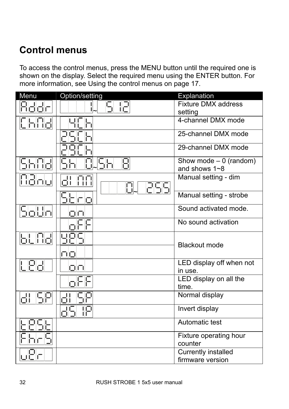### **Control menus**

To access the control menus, press the MENU button until the required one is shown on the display. Select the required menu using the ENTER button. For more information, see Using the control menus on page 17.

| Menu                   | Option/setting | Explanation                                  |
|------------------------|----------------|----------------------------------------------|
| 8dda                   | S 121          | <b>Fixture DMX address</b>                   |
|                        |                | setting                                      |
| CHOJ                   | 占              | 4-channel DMX mode                           |
|                        |                | 25-channel DMX mode                          |
|                        |                | 29-channel DMX mode                          |
| 5688                   | SH<br>Я        | Show mode $-0$ (random)<br>and shows $1 - 8$ |
| Nano                   | 래<br>no<br>255 | Manual setting - dim                         |
|                        | Sbro           | Manual setting - strobe                      |
| Solin                  | 口口             | Sound activated mode.                        |
|                        | oFF            | No sound activation                          |
|                        | 내민도            | <b>Blackout mode</b>                         |
|                        | 中口             |                                              |
| LPd                    | 口口             | LED display off when not<br>in use.          |
|                        | oFF            | LED display on all the<br>time.              |
| $  \mathbf{r}  $<br>58 | 네              | Normal display                               |
|                        | IΡ<br>d5L      | Invert display                               |
|                        |                | Automatic test                               |
| hr                     |                | Fixture operating hour<br>counter            |
|                        |                | <b>Currently installed</b>                   |
|                        |                | firmware version                             |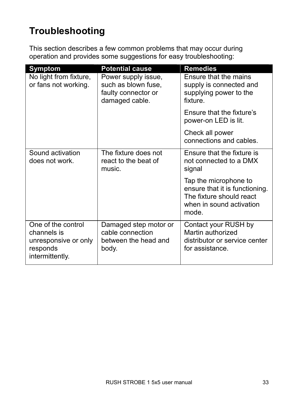### **Troubleshooting**

This section describes a few common problems that may occur during operation and provides some suggestions for easy troubleshooting:

| <b>Symptom</b>                                                                           | <b>Potential cause</b>                                                              | <b>Remedies</b>                                                                                                          |
|------------------------------------------------------------------------------------------|-------------------------------------------------------------------------------------|--------------------------------------------------------------------------------------------------------------------------|
| No light from fixture,<br>or fans not working.                                           | Power supply issue,<br>such as blown fuse,<br>faulty connector or<br>damaged cable. | Ensure that the mains<br>supply is connected and<br>supplying power to the<br>fixture.                                   |
|                                                                                          |                                                                                     | Ensure that the fixture's<br>power-on LED is lit.                                                                        |
|                                                                                          |                                                                                     | Check all power<br>connections and cables.                                                                               |
| Sound activation<br>does not work.                                                       | The fixture does not<br>react to the beat of<br>music.                              | Ensure that the fixture is<br>not connected to a DMX<br>signal                                                           |
|                                                                                          |                                                                                     | Tap the microphone to<br>ensure that it is functioning.<br>The fixture should react<br>when in sound activation<br>mode. |
| One of the control<br>channels is<br>unresponsive or only<br>responds<br>intermittently. | Damaged step motor or<br>cable connection<br>between the head and<br>body.          | Contact your RUSH by<br>Martin authorized<br>distributor or service center<br>for assistance.                            |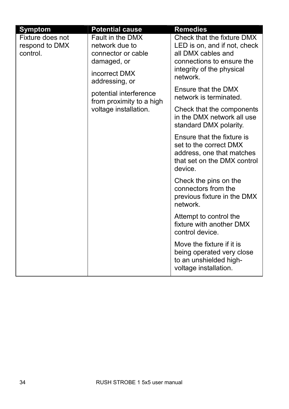| <b>Symptom</b>                                 | <b>Potential cause</b>                                                                   | <b>Remedies</b>                                                                                                                            |
|------------------------------------------------|------------------------------------------------------------------------------------------|--------------------------------------------------------------------------------------------------------------------------------------------|
| Fixture does not<br>respond to DMX<br>control. | Fault in the DMX<br>network due to<br>connector or cable<br>damaged, or<br>incorrect DMX | Check that the fixture DMX<br>LED is on, and if not, check<br>all DMX cables and<br>connections to ensure the<br>integrity of the physical |
|                                                | addressing, or<br>potential interference                                                 | network.<br>Ensure that the DMX<br>network is terminated.                                                                                  |
|                                                | from proximity to a high<br>voltage installation.                                        | Check that the components<br>in the DMX network all use<br>standard DMX polarity.                                                          |
|                                                |                                                                                          | Ensure that the fixture is<br>set to the correct DMX<br>address, one that matches<br>that set on the DMX control<br>device.                |
|                                                |                                                                                          | Check the pins on the<br>connectors from the<br>previous fixture in the DMX<br>network.                                                    |
|                                                |                                                                                          | Attempt to control the<br>fixture with another DMX<br>control device.                                                                      |
|                                                |                                                                                          | Move the fixture if it is<br>being operated very close<br>to an unshielded high-<br>voltage installation.                                  |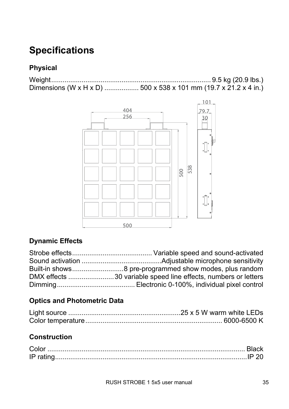### **Specifications**

### **Physical**

Weight.................................................................................... 9.5 kg (20.9 lbs.) Dimensions (W x H x D) .................. 500 x 538 x 101 mm (19.7 x 21.2 x 4 in.)



### **Dynamic Effects**

### **Optics and Photometric Data**

### **Construction**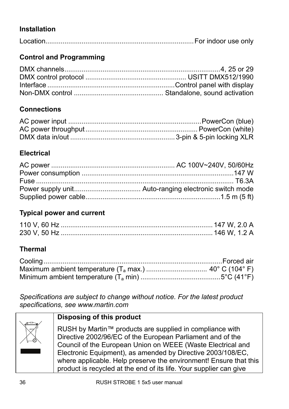### **Installation**

|--|--|--|--|--|

### **Control and Programming**

### **Connections**

### **Electrical**

### **Typical power and current**

### **Thermal**

*Specifications are subject to change without notice. For the latest product specifications, see www.martin.com* 

### **Disposing of this product**

RUSH by Martin™ products are supplied in compliance with Directive 2002/96/EC of the European Parliament and of the Council of the European Union on WEEE (Waste Electrical and Electronic Equipment), as amended by Directive 2003/108/EC, where applicable. Help preserve the environment! Ensure that this product is recycled at the end of its life. Your supplier can give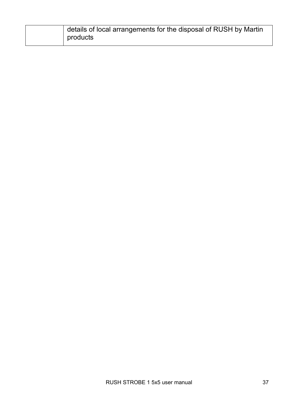| details of local arrangements for the disposal of RUSH by Martin |
|------------------------------------------------------------------|
| products                                                         |